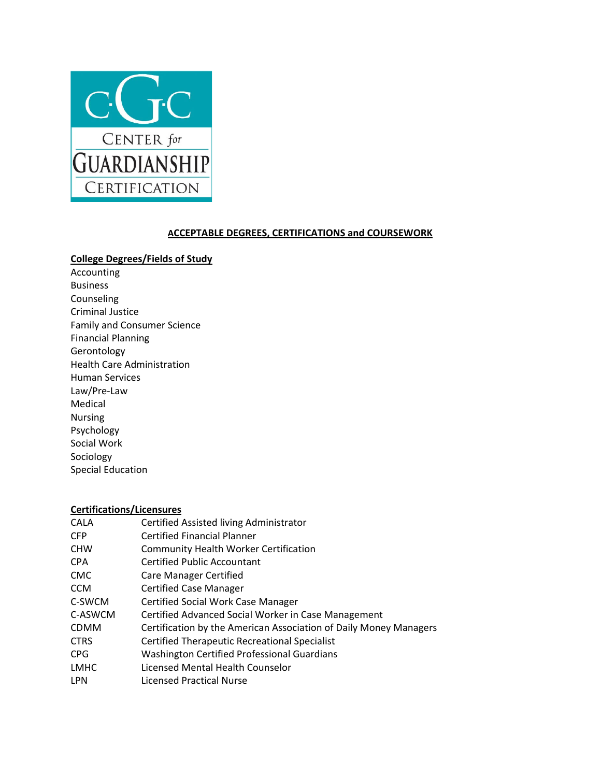

## **ACCEPTABLE DEGREES, CERTIFICATIONS and COURSEWORK**

## **College Degrees/Fields of Study**

Accounting Business Counseling Criminal Justice Family and Consumer Science Financial Planning Gerontology Health Care Administration Human Services Law/Pre‐Law Medical Nursing Psychology Social Work Sociology Special Education

## **Certifications/Licensures**

| <b>CALA</b> | Certified Assisted living Administrator                           |
|-------------|-------------------------------------------------------------------|
| <b>CFP</b>  | <b>Certified Financial Planner</b>                                |
| <b>CHW</b>  | <b>Community Health Worker Certification</b>                      |
| <b>CPA</b>  | <b>Certified Public Accountant</b>                                |
| <b>CMC</b>  | <b>Care Manager Certified</b>                                     |
| <b>CCM</b>  | <b>Certified Case Manager</b>                                     |
| C-SWCM      | <b>Certified Social Work Case Manager</b>                         |
| C-ASWCM     | Certified Advanced Social Worker in Case Management               |
| <b>CDMM</b> | Certification by the American Association of Daily Money Managers |
| <b>CTRS</b> | <b>Certified Therapeutic Recreational Specialist</b>              |
| <b>CPG</b>  | <b>Washington Certified Professional Guardians</b>                |
| <b>LMHC</b> | Licensed Mental Health Counselor                                  |
| <b>LPN</b>  | <b>Licensed Practical Nurse</b>                                   |